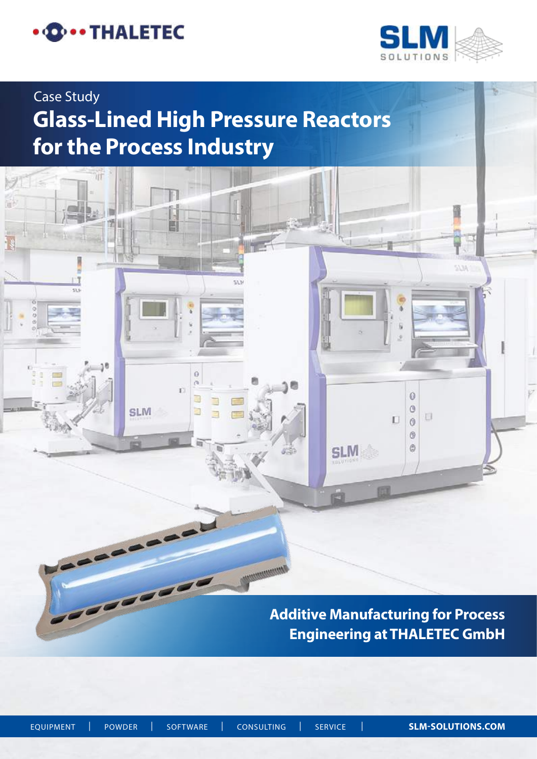

 $7 =$ 

**Cup** 



# Case Study **Glass-Lined High Pressure Reactors for the Process Industry**

Ë

 $\theta$ 

E

**SLM** 

**Additive Manufacturing for Process Engineering at THALETEC GmbH**

 $\ddot{\text{o}}$ O

 $\Box$  $\theta$  $\circ$ G

**SLM** 

U

**MARKETONIA** 

EQUIPMENT| POWDER| SOFTWARE| CONSULTING| SERVICE | **SLM-SOLUTIONS.COM**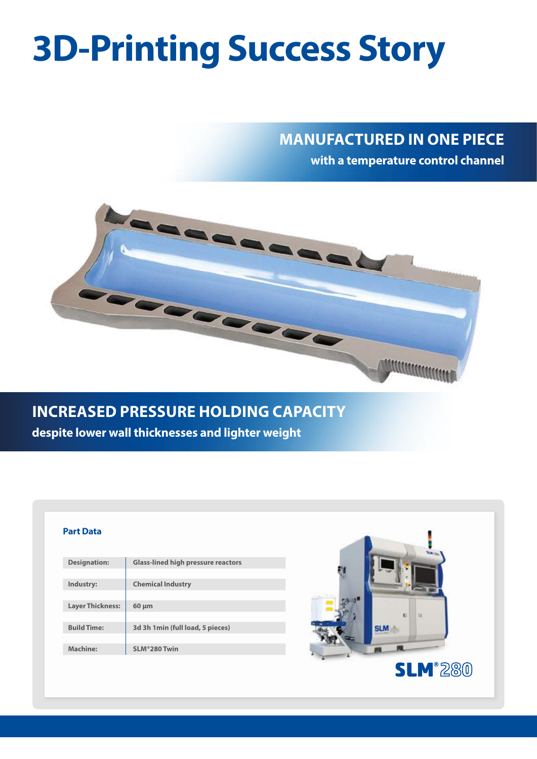# **3D-Printing Success Story**

## **MANUFACTURED IN ONE PIECE**

**with a temperature control channel** 



## **INCREASED PRESSURE HOLDING CAPACITY**

**despite lower wall thicknesses and lighter weight**

#### **Part Data**

| <b>Designation:</b>     | <b>Glass-lined high pressure reactors</b> |
|-------------------------|-------------------------------------------|
|                         |                                           |
| Industry:               | <b>Chemical Industry</b>                  |
|                         |                                           |
| <b>Layer Thickness:</b> | $60 \mu m$                                |
|                         |                                           |
| <b>Build Time:</b>      | 3d 3h 1 min (full load, 5 pieces)         |
|                         |                                           |
| Machine:                | SLM®280 Twin                              |

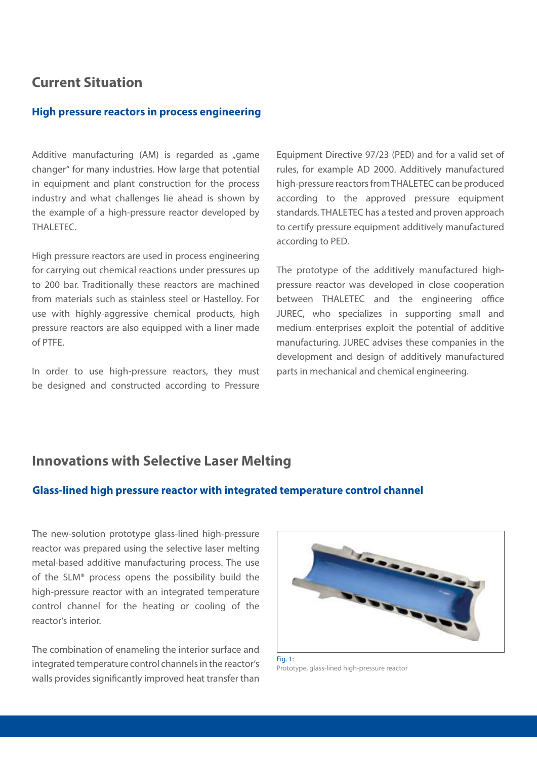### **Current Situation**

#### **High pressure reactors in process engineering**

Additive manufacturing (AM) is regarded as "game changer" for many industries. How large that potential in equipment and plant construction for the process industry and what challenges lie ahead is shown by the example of a high-pressure reactor developed by THALETEC.

High pressure reactors are used in process engineering for carrying out chemical reactions under pressures up to 200 bar. Traditionally these reactors are machined from materials such as stainless steel or Hastelloy. For use with highly-aggressive chemical products, high pressure reactors are also equipped with a liner made of PTFE.

In order to use high-pressure reactors, they must be designed and constructed according to Pressure

Equipment Directive 97/23 (PED) and for a valid set of rules, for example AD 2000. Additively manufactured high-pressure reactors from THALETEC can be produced according to the approved pressure equipment standards. THALETEC has a tested and proven approach to certify pressure equipment additively manufactured according to PED.

The prototype of the additively manufactured highpressure reactor was developed in close cooperation between THALETEC and the engineering office JUREC, who specializes in supporting small and medium enterprises exploit the potential of additive manufacturing. JUREC advises these companies in the development and design of additively manufactured parts in mechanical and chemical engineering.

## **Innovations with Selective Laser Melting**

#### **Glass-lined high pressure reactor with integrated temperature control channel**

The new-solution prototype glass-lined high-pressure reactor was prepared using the selective laser melting metal-based additive manufacturing process. The use of the SLM® process opens the possibility build the high-pressure reactor with an integrated temperature control channel for the heating or cooling of the reactor's interior.

The combination of enameling the interior surface and integrated temperature control channels in the reactor's walls provides significantly improved heat transfer than



Fig. 1: Prototype, glass-lined high-pressure reactor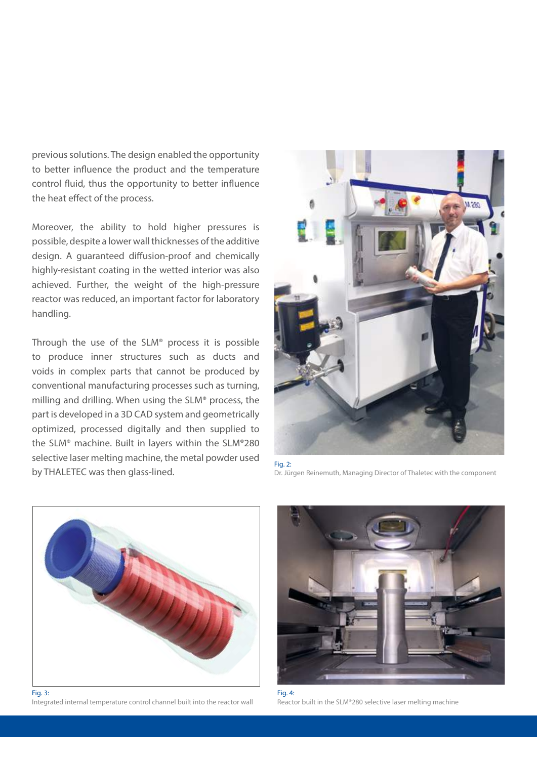previous solutions. The design enabled the opportunity to better influence the product and the temperature control fluid, thus the opportunity to better influence the heat effect of the process.

Moreover, the ability to hold higher pressures is possible, despite a lower wall thicknesses of the additive design. A guaranteed diffusion-proof and chemically highly-resistant coating in the wetted interior was also achieved. Further, the weight of the high-pressure reactor was reduced, an important factor for laboratory handling.

Through the use of the SLM® process it is possible to produce inner structures such as ducts and voids in complex parts that cannot be produced by conventional manufacturing processes such as turning, milling and drilling. When using the SLM® process, the part is developed in a 3D CAD system and geometrically optimized, processed digitally and then supplied to the SLM® machine. Built in layers within the SLM®280 selective laser melting machine, the metal powder used by THALETEC was then glass-lined.



Fig. 2: Dr. Jürgen Reinemuth, Managing Director of Thaletec with the component



Integrated internal temperature control channel built into the reactor wall



Fig. 4: Reactor built in the SLM®280 selective laser melting machine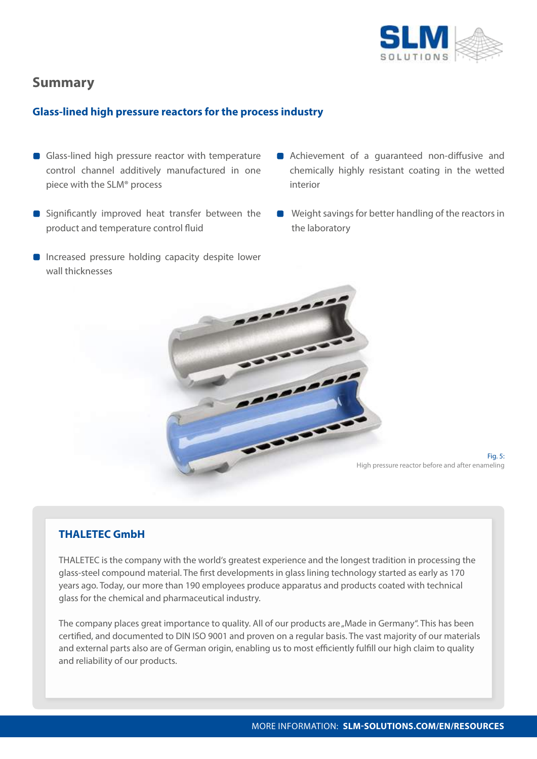

## **Summary**

#### **Glass-lined high pressure reactors for the process industry**

- Glass-lined high pressure reactor with temperature control channel additively manufactured in one piece with the SLM® process
- Significantly improved heat transfer between the product and temperature control fluid
- **Increased pressure holding capacity despite lower** wall thicknesses
- Achievement of a quaranteed non-diffusive and chemically highly resistant coating in the wetted interior
- Weight savings for better handling of the reactors in the laboratory



Fig. 5: High pressure reactor before and after enameling

#### **THALETEC GmbH**

THALETEC is the company with the world's greatest experience and the longest tradition in processing the glass-steel compound material. The first developments in glass lining technology started as early as 170 years ago. Today, our more than 190 employees produce apparatus and products coated with technical glass for the chemical and pharmaceutical industry.

The company places great importance to quality. All of our products are "Made in Germany". This has been certified, and documented to DIN ISO 9001 and proven on a regular basis. The vast majority of our materials and external parts also are of German origin, enabling us to most efficiently fulfill our high claim to quality and reliability of our products.